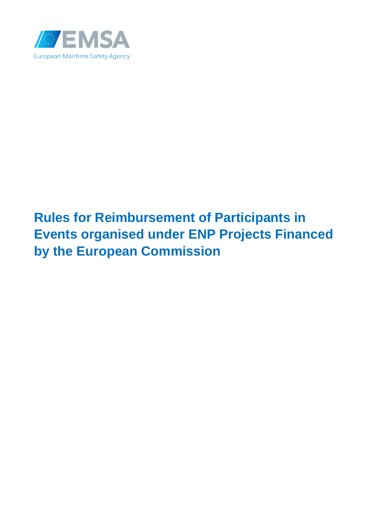

# **Rules for Reimbursement of Participants in Events organised under ENP Projects Financed by the European Commission**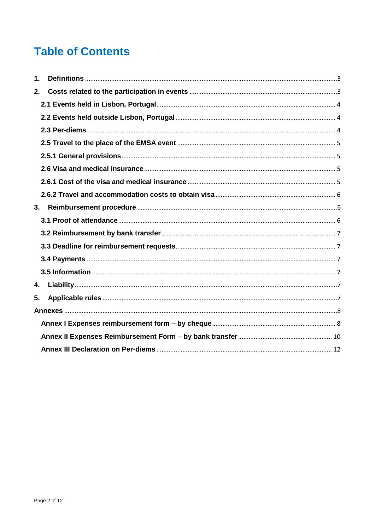# **Table of Contents**

| $\mathbf 1$ |  |
|-------------|--|
| 2.          |  |
|             |  |
|             |  |
|             |  |
|             |  |
|             |  |
|             |  |
|             |  |
|             |  |
| 3.          |  |
|             |  |
|             |  |
|             |  |
|             |  |
|             |  |
| 4.          |  |
| 5.          |  |
|             |  |
|             |  |
|             |  |
|             |  |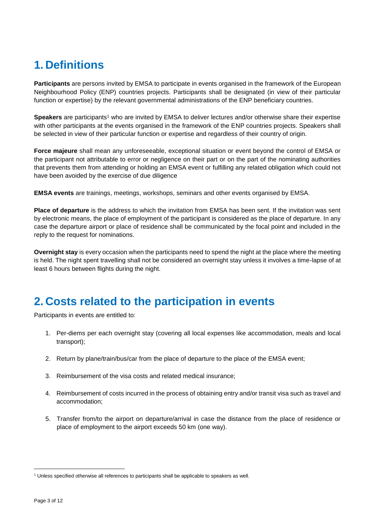# <span id="page-2-0"></span>**1. Definitions**

**Participants** are persons invited by EMSA to participate in events organised in the framework of the European Neighbourhood Policy (ENP) countries projects. Participants shall be designated (in view of their particular function or expertise) by the relevant governmental administrations of the ENP beneficiary countries.

**Speakers** are participants<sup>1</sup> who are invited by EMSA to deliver lectures and/or otherwise share their expertise with other participants at the events organised in the framework of the ENP countries projects. Speakers shall be selected in view of their particular function or expertise and regardless of their country of origin.

**Force majeure** shall mean any unforeseeable, exceptional situation or event beyond the control of EMSA or the participant not attributable to error or negligence on their part or on the part of the nominating authorities that prevents them from attending or holding an EMSA event or fulfilling any related obligation which could not have been avoided by the exercise of due diligence

**EMSA events** are trainings, meetings, workshops, seminars and other events organised by EMSA.

**Place of departure** is the address to which the invitation from EMSA has been sent. If the invitation was sent by electronic means, the place of employment of the participant is considered as the place of departure. In any case the departure airport or place of residence shall be communicated by the focal point and included in the reply to the request for nominations.

**Overnight stay** is every occasion when the participants need to spend the night at the place where the meeting is held. The night spent travelling shall not be considered an overnight stay unless it involves a time-lapse of at least 6 hours between flights during the night.

# <span id="page-2-1"></span>**2. Costs related to the participation in events**

Participants in events are entitled to:

- 1. Per-diems per each overnight stay (covering all local expenses like accommodation, meals and local transport);
- 2. Return by plane/train/bus/car from the place of departure to the place of the EMSA event;
- 3. Reimbursement of the visa costs and related medical insurance;
- 4. Reimbursement of costs incurred in the process of obtaining entry and/or transit visa such as travel and accommodation;
- 5. Transfer from/to the airport on departure/arrival in case the distance from the place of residence or place of employment to the airport exceeds 50 km (one way).

 $\overline{\phantom{a}}$ 

<sup>&</sup>lt;sup>1</sup> Unless specified otherwise all references to participants shall be applicable to speakers as well.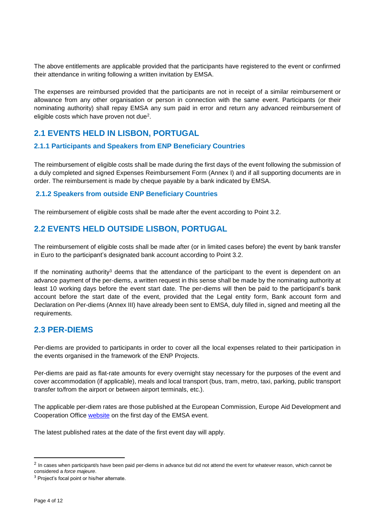The above entitlements are applicable provided that the participants have registered to the event or confirmed their attendance in writing following a written invitation by EMSA.

The expenses are reimbursed provided that the participants are not in receipt of a similar reimbursement or allowance from any other organisation or person in connection with the same event. Participants (or their nominating authority) shall repay EMSA any sum paid in error and return any advanced reimbursement of eligible costs which have proven not due<sup>2</sup>.

#### <span id="page-3-0"></span>**2.1 EVENTS HELD IN LISBON, PORTUGAL**

#### **2.1.1 Participants and Speakers from ENP Beneficiary Countries**

The reimbursement of eligible costs shall be made during the first days of the event following the submission of a duly completed and signed Expenses Reimbursement Form (Annex I) and if all supporting documents are in order. The reimbursement is made by cheque payable by a bank indicated by EMSA.

#### **2.1.2 Speakers from outside ENP Beneficiary Countries**

The reimbursement of eligible costs shall be made after the event according to Point 3.2.

#### <span id="page-3-1"></span>**2.2 EVENTS HELD OUTSIDE LISBON, PORTUGAL**

The reimbursement of eligible costs shall be made after (or in limited cases before) the event by bank transfer in Euro to the participant's designated bank account according to Point 3.2.

If the nominating authority<sup>3</sup> deems that the attendance of the participant to the event is dependent on an advance payment of the per-diems, a written request in this sense shall be made by the nominating authority at least 10 working days before the event start date. The per-diems will then be paid to the participant's bank account before the start date of the event, provided that the Legal entity form, Bank account form and Declaration on Per-diems (Annex III) have already been sent to EMSA, duly filled in, signed and meeting all the requirements.

#### <span id="page-3-2"></span>**2.3 PER-DIEMS**

Per-diems are provided to participants in order to cover all the local expenses related to their participation in the events organised in the framework of the ENP Projects.

Per-diems are paid as flat-rate amounts for every overnight stay necessary for the purposes of the event and cover accommodation (if applicable), meals and local transport (bus, tram, metro, taxi, parking, public transport transfer to/from the airport or between airport terminals, etc.).

The applicable per-diem rates are those published at the European Commission, Europe Aid Development and Cooperation Office [website](https://ec.europa.eu/europeaid/work/procedures/implementation/per_diems/index_en.htm_en) on the first day of the EMSA event.

The latest published rates at the date of the first event day will apply.

 $\overline{\phantom{a}}$ 

 $^2$  In cases when participant/s have been paid per-diems in advance but did not attend the event for whatever reason, which cannot be considered a *force majeure*.

<sup>&</sup>lt;sup>3</sup> Project's focal point or his/her alternate.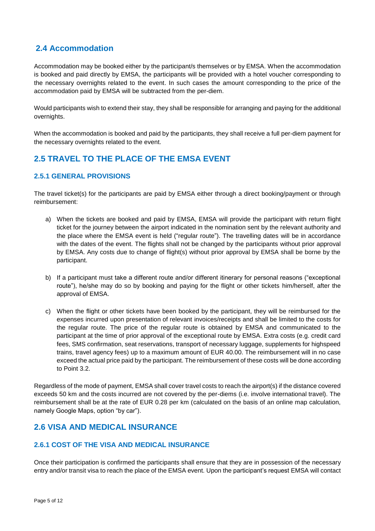#### **2.4 Accommodation**

Accommodation may be booked either by the participant/s themselves or by EMSA. When the accommodation is booked and paid directly by EMSA, the participants will be provided with a hotel voucher corresponding to the necessary overnights related to the event. In such cases the amount corresponding to the price of the accommodation paid by EMSA will be subtracted from the per-diem.

Would participants wish to extend their stay, they shall be responsible for arranging and paying for the additional overnights.

When the accommodation is booked and paid by the participants, they shall receive a full per-diem payment for the necessary overnights related to the event.

## <span id="page-4-0"></span>**2.5 TRAVEL TO THE PLACE OF THE EMSA EVENT**

#### <span id="page-4-1"></span>**2.5.1 GENERAL PROVISIONS**

The travel ticket(s) for the participants are paid by EMSA either through a direct booking/payment or through reimbursement:

- a) When the tickets are booked and paid by EMSA, EMSA will provide the participant with return flight ticket for the journey between the airport indicated in the nomination sent by the relevant authority and the place where the EMSA event is held ("regular route"). The travelling dates will be in accordance with the dates of the event. The flights shall not be changed by the participants without prior approval by EMSA. Any costs due to change of flight(s) without prior approval by EMSA shall be borne by the participant.
- b) If a participant must take a different route and/or different itinerary for personal reasons ("exceptional route"), he/she may do so by booking and paying for the flight or other tickets him/herself, after the approval of EMSA.
- c) When the flight or other tickets have been booked by the participant, they will be reimbursed for the expenses incurred upon presentation of relevant invoices/receipts and shall be limited to the costs for the regular route. The price of the regular route is obtained by EMSA and communicated to the participant at the time of prior approval of the exceptional route by EMSA. Extra costs (e.g. credit card fees, SMS confirmation, seat reservations, transport of necessary luggage, supplements for highspeed trains, travel agency fees) up to a maximum amount of EUR 40.00. The reimbursement will in no case exceed the actual price paid by the participant. The reimbursement of these costs will be done according to Point 3.2.

Regardless of the mode of payment, EMSA shall cover travel costs to reach the airport(s) if the distance covered exceeds 50 km and the costs incurred are not covered by the per-diems (i.e. involve international travel). The reimbursement shall be at the rate of EUR 0.28 per km (calculated on the basis of an online map calculation, namely Google Maps, option "by car").

## <span id="page-4-2"></span>**2.6 VISA AND MEDICAL INSURANCE**

#### <span id="page-4-3"></span>**2.6.1 COST OF THE VISA AND MEDICAL INSURANCE**

Once their participation is confirmed the participants shall ensure that they are in possession of the necessary entry and/or transit visa to reach the place of the EMSA event. Upon the participant's request EMSA will contact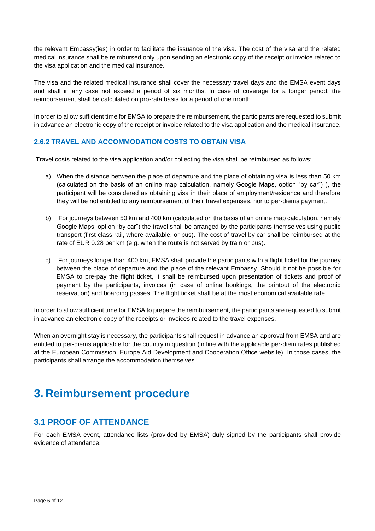the relevant Embassy(ies) in order to facilitate the issuance of the visa. The cost of the visa and the related medical insurance shall be reimbursed only upon sending an electronic copy of the receipt or invoice related to the visa application and the medical insurance.

The visa and the related medical insurance shall cover the necessary travel days and the EMSA event days and shall in any case not exceed a period of six months. In case of coverage for a longer period, the reimbursement shall be calculated on pro-rata basis for a period of one month.

In order to allow sufficient time for EMSA to prepare the reimbursement, the participants are requested to submit in advance an electronic copy of the receipt or invoice related to the visa application and the medical insurance.

#### <span id="page-5-0"></span>**2.6.2 TRAVEL AND ACCOMMODATION COSTS TO OBTAIN VISA**

Travel costs related to the visa application and/or collecting the visa shall be reimbursed as follows:

- a) When the distance between the place of departure and the place of obtaining visa is less than 50 km (calculated on the basis of an online map calculation, namely Google Maps, option "by car") ), the participant will be considered as obtaining visa in their place of employment/residence and therefore they will be not entitled to any reimbursement of their travel expenses, nor to per-diems payment.
- b) For journeys between 50 km and 400 km (calculated on the basis of an online map calculation, namely Google Maps, option "by car") the travel shall be arranged by the participants themselves using public transport (first-class rail, where available, or bus). The cost of travel by car shall be reimbursed at the rate of EUR 0.28 per km (e.g. when the route is not served by train or bus).
- c) For journeys longer than 400 km, EMSA shall provide the participants with a flight ticket for the journey between the place of departure and the place of the relevant Embassy. Should it not be possible for EMSA to pre-pay the flight ticket, it shall be reimbursed upon presentation of tickets and proof of payment by the participants, invoices (in case of online bookings, the printout of the electronic reservation) and boarding passes. The flight ticket shall be at the most economical available rate.

In order to allow sufficient time for EMSA to prepare the reimbursement, the participants are requested to submit in advance an electronic copy of the receipts or invoices related to the travel expenses.

When an overnight stay is necessary, the participants shall request in advance an approval from EMSA and are entitled to per-diems applicable for the country in question (in line with the applicable per-diem rates published at the European Commission, Europe Aid Development and Cooperation Office website). In those cases, the participants shall arrange the accommodation themselves.

# <span id="page-5-1"></span>**3. Reimbursement procedure**

#### <span id="page-5-2"></span>**3.1 PROOF OF ATTENDANCE**

For each EMSA event, attendance lists (provided by EMSA) duly signed by the participants shall provide evidence of attendance.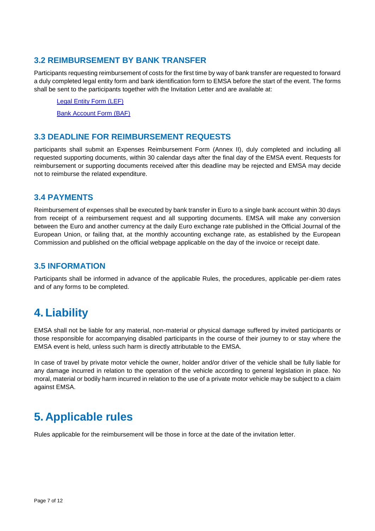#### <span id="page-6-0"></span>**3.2 REIMBURSEMENT BY BANK TRANSFER**

Participants requesting reimbursement of costs for the first time by way of bank transfer are requested to forward a duly completed legal entity form and bank identification form to EMSA before the start of the event. The forms shall be sent to the participants together with the Invitation Letter and are available at:

[Legal Entity Form \(LEF\)](http://ec.europa.eu/budget/contracts_grants/info_contracts/legal_entities/legal-entities_en.cfm)

[Bank Account](http://ec.europa.eu/budget/contracts_grants/info_contracts/financial_id/financial-id_en.cfm) Form (BAF)

### <span id="page-6-1"></span>**3.3 DEADLINE FOR REIMBURSEMENT REQUESTS**

participants shall submit an Expenses Reimbursement Form (Annex II), duly completed and including all requested supporting documents, within 30 calendar days after the final day of the EMSA event. Requests for reimbursement or supporting documents received after this deadline may be rejected and EMSA may decide not to reimburse the related expenditure.

#### <span id="page-6-2"></span>**3.4 PAYMENTS**

Reimbursement of expenses shall be executed by bank transfer in Euro to a single bank account within 30 days from receipt of a reimbursement request and all supporting documents. EMSA will make any conversion between the Euro and another currency at the daily Euro exchange rate published in the Official Journal of the European Union, or failing that, at the monthly accounting exchange rate, as established by the European Commission and published on the official webpage applicable on the day of the invoice or receipt date.

#### <span id="page-6-3"></span>**3.5 INFORMATION**

Participants shall be informed in advance of the applicable Rules, the procedures, applicable per-diem rates and of any forms to be completed.

## <span id="page-6-4"></span>**4. Liability**

EMSA shall not be liable for any material, non-material or physical damage suffered by invited participants or those responsible for accompanying disabled participants in the course of their journey to or stay where the EMSA event is held, unless such harm is directly attributable to the EMSA.

In case of travel by private motor vehicle the owner, holder and/or driver of the vehicle shall be fully liable for any damage incurred in relation to the operation of the vehicle according to general legislation in place. No moral, material or bodily harm incurred in relation to the use of a private motor vehicle may be subject to a claim against EMSA.

# <span id="page-6-5"></span>**5. Applicable rules**

Rules applicable for the reimbursement will be those in force at the date of the invitation letter.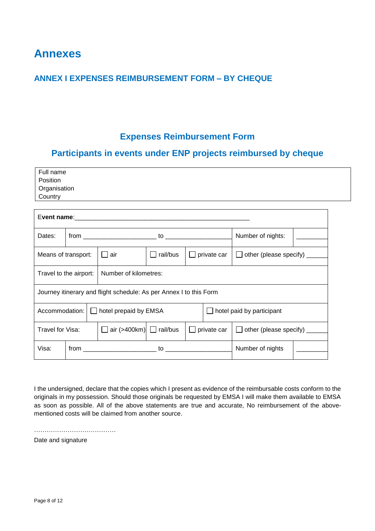## <span id="page-7-0"></span>**Annexes**

### <span id="page-7-1"></span>**ANNEX I EXPENSES REIMBURSEMENT FORM – BY CHEQUE**

## **Expenses Reimbursement Form**

## **Participants in events under ENP projects reimbursed by cheque**

| Full name    |  |
|--------------|--|
| Position     |  |
| Organisation |  |
| Country      |  |

| Dates:                                                                      |  |                                     |          |                                    |                  | Number of nights:                       |  |  |
|-----------------------------------------------------------------------------|--|-------------------------------------|----------|------------------------------------|------------------|-----------------------------------------|--|--|
| ∐ air<br>Means of transport:                                                |  |                                     | rail/bus | $\Box$ private car<br>$\mathbf{L}$ |                  | other (please specify) _____            |  |  |
| Number of kilometres:<br>Travel to the airport:                             |  |                                     |          |                                    |                  |                                         |  |  |
| Journey itinerary and flight schedule: As per Annex I to this Form          |  |                                     |          |                                    |                  |                                         |  |  |
| Accommodation:<br>$\Box$ hotel prepaid by EMSA<br>hotel paid by participant |  |                                     |          |                                    |                  |                                         |  |  |
| Travel for Visa:                                                            |  | $\Box$ air (>400km) $\Box$ rail/bus |          | $\Box$ private car                 |                  | other (please specify) _____<br>$\perp$ |  |  |
| Visa:                                                                       |  |                                     |          |                                    | Number of nights |                                         |  |  |

I the undersigned, declare that the copies which I present as evidence of the reimbursable costs conform to the originals in my possession. Should those originals be requested by EMSA I will make them available to EMSA as soon as possible. All of the above statements are true and accurate, No reimbursement of the abovementioned costs will be claimed from another source.

…………………………………

Date and signature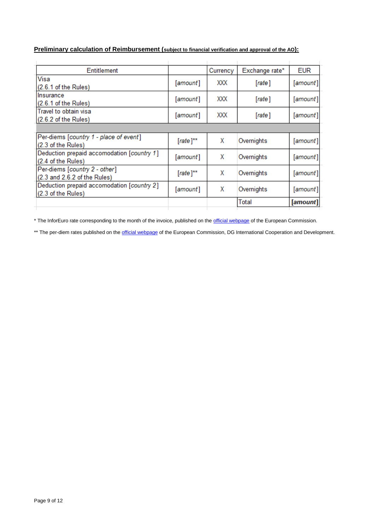#### **Preliminary calculation of Reimbursement (subject to financial verification and approval of the AO):**

| Entitlement                                                      |               | Currency | Exchange rate* | <b>EUR</b> |
|------------------------------------------------------------------|---------------|----------|----------------|------------|
| Visa<br>(2.6.1 of the Rules)                                     | [amount]      | XXX      | [rate]         | [amount]   |
| Insurance<br>(2.6.1 of the Rules)                                | [amount]      | XXX      | [rate]         | [amount]   |
| Travel to obtain visa<br>(2.6.2 of the Rules)                    | [amount]      | XXX      | [rate]         | [amount]   |
|                                                                  |               |          |                |            |
| Per-diems [country 1 - place of event]<br>(2.3 of the Rules)     | $[rate]^{**}$ | х        | Overnights     | [amount]   |
| Deduction prepaid accomodation [country 1]<br>(2.4 of the Rules) | [amount]      | Х        | Overnights     | [amount]   |
| Per-diems [country 2 - other]<br>(2.3 and 2.6.2 of the Rules)    | $[rate]^{**}$ | χ        | Overnights     | [amount]   |
| Deduction prepaid accomodation [country 2]<br>(2.3 of the Rules) | [amount]      | Χ        | Overnights     | [amount]   |
|                                                                  |               |          | Total          | [amount]   |
|                                                                  |               |          |                |            |

\* The InforEuro rate corresponding to the month of the invoice, published on the **official webpage** of the European Commission.

\*\* The per-diem rates published on the *official webpage* of the European Commission, DG International Cooperation and Development.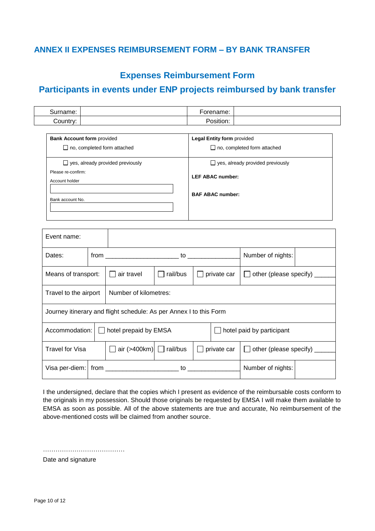## <span id="page-9-0"></span>**ANNEX II EXPENSES REIMBURSEMENT FORM – BY BANK TRANSFER**

## **Expenses Reimbursement Form**

## **Participants in events under ENP projects reimbursed by bank transfer**

| <br>'arne.<br>ונור | , <b>. .</b> .<br>ne. |  |
|--------------------|-----------------------|--|
| ;ountr∨:           | .<br>D,<br>sition:    |  |

| <b>Bank Account form provided</b>       | <b>Legal Entity form provided</b>       |  |  |
|-----------------------------------------|-----------------------------------------|--|--|
| $\Box$ no, completed form attached      | $\Box$ no, completed form attached      |  |  |
| $\Box$ yes, already provided previously | $\Box$ yes, already provided previously |  |  |
| Please re-confirm:<br>Account holder    | <b>LEF ABAC number:</b>                 |  |  |
| Bank account No.                        | <b>BAF ABAC number:</b>                 |  |  |

| Event name:                                                        |         |                                     |          |                                                     |  |                                                         |  |
|--------------------------------------------------------------------|---------|-------------------------------------|----------|-----------------------------------------------------|--|---------------------------------------------------------|--|
| Dates:                                                             |         |                                     |          |                                                     |  |                                                         |  |
| Means of transport:                                                |         | air travel                          | rail/bus | private car<br>$\Box$ other (please specify) $\Box$ |  |                                                         |  |
| Number of kilometres:<br>Travel to the airport                     |         |                                     |          |                                                     |  |                                                         |  |
| Journey itinerary and flight schedule: As per Annex I to this Form |         |                                     |          |                                                     |  |                                                         |  |
| Accommodation:                                                     | $\perp$ | hotel prepaid by EMSA               |          |                                                     |  | $\Box$ hotel paid by participant                        |  |
| <b>Travel for Visa</b>                                             |         | $\Box$ air (>400km) $\Box$ rail/bus |          |                                                     |  | $\Box$ private car $\Box$ other (please specify) $\Box$ |  |
|                                                                    |         |                                     |          | Number of nights:                                   |  |                                                         |  |

I the undersigned, declare that the copies which I present as evidence of the reimbursable costs conform to the originals in my possession. Should those originals be requested by EMSA I will make them available to EMSA as soon as possible. All of the above statements are true and accurate, No reimbursement of the above-mentioned costs will be claimed from another source.

…………………………………

Date and signature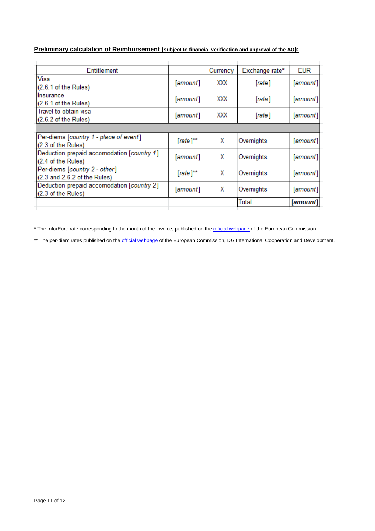#### **Preliminary calculation of Reimbursement (subject to financial verification and approval of the AO):**

| Entitlement                                                                |               | Currency | Exchange rate* | <b>EUR</b> |
|----------------------------------------------------------------------------|---------------|----------|----------------|------------|
| Visa<br>$(2.6.1$ of the Rules)                                             | [amount]      | XXX      | [rate]         | [amount]   |
| llnsurance<br>(2.6.1 of the Rules)                                         | [amount]      | XXX      | [rate]         | [amount]   |
| Travel to obtain visa<br>(2.6.2 of the Rules)                              | [amount]      | XXX      | [rate]         | [amount]   |
|                                                                            |               |          |                |            |
| Per-diems [country 1 - place of event]<br>(2.3 of the Rules)               | $[rate]^{**}$ | х        | Overnights     | [amount]   |
| Deduction prepaid accomodation [country 1]<br>$(2.4 \text{ of the Rules})$ | [amount]      | X        | Overnights     | [amount]   |
| Per-diems [country 2 - other]<br>(2.3 and 2.6.2 of the Rules)              | $[rate]^{**}$ | Х        | Overnights     | [amount]   |
| Deduction prepaid accomodation [country 2]<br>(2.3 of the Rules)           | [amount]      | х        | Overnights     | [amount]   |
|                                                                            |               |          | Total          | [amount]   |
|                                                                            |               |          |                |            |

\* The InforEuro rate corresponding to the month of the invoice, published on the **official webpage** of the European Commission.

\*\* The per-diem rates published on the *official webpage* of the European Commission, DG International Cooperation and Development.